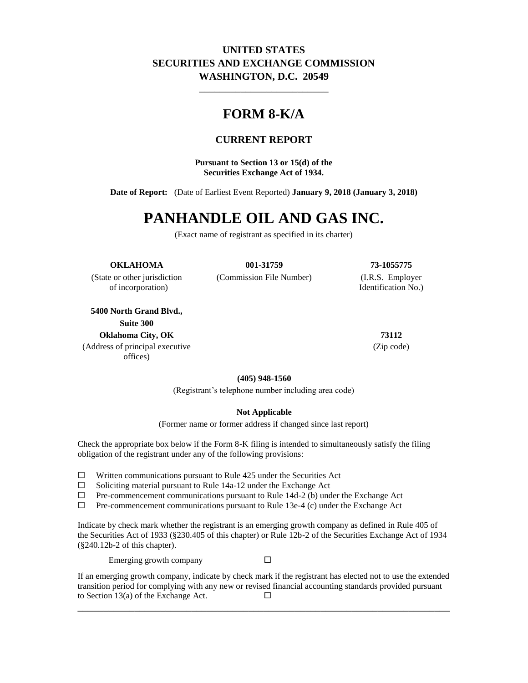### **UNITED STATES SECURITIES AND EXCHANGE COMMISSION WASHINGTON, D.C. 20549**

\_\_\_\_\_\_\_\_\_\_\_\_\_\_\_\_\_\_\_\_\_\_\_\_\_

## **FORM 8-K/A**

#### **CURRENT REPORT**

**Pursuant to Section 13 or 15(d) of the Securities Exchange Act of 1934.**

**Date of Report:** (Date of Earliest Event Reported) **January 9, 2018 (January 3, 2018)**

# **PANHANDLE OIL AND GAS INC.**

(Exact name of registrant as specified in its charter)

#### **OKLAHOMA 001-31759 73-1055775**

of incorporation) Identification No.)

**5400 North Grand Blvd., Suite 300 Oklahoma City, OK 73112**

(Address of principal executive offices)

(State or other jurisdiction (Commission File Number) (I.R.S. Employer

(Zip code)

**(405) 948-1560**

(Registrant's telephone number including area code)

#### **Not Applicable**

(Former name or former address if changed since last report)

Check the appropriate box below if the Form 8-K filing is intended to simultaneously satisfy the filing obligation of the registrant under any of the following provisions:

- $\Box$  Written communications pursuant to Rule 425 under the Securities Act
- $\square$  Soliciting material pursuant to Rule 14a-12 under the Exchange Act  $\square$  Pre-commencement communications pursuant to Rule 14d-2 (b) und
- Pre-commencement communications pursuant to Rule 14d-2 (b) under the Exchange Act
- $\Box$  Pre-commencement communications pursuant to Rule 13e-4 (c) under the Exchange Act

Indicate by check mark whether the registrant is an emerging growth company as defined in Rule 405 of the Securities Act of 1933 (§230.405 of this chapter) or Rule 12b-2 of the Securities Exchange Act of 1934 (§240.12b-2 of this chapter).

Emerging growth company  $\square$ 

If an emerging growth company, indicate by check mark if the registrant has elected not to use the extended transition period for complying with any new or revised financial accounting standards provided pursuant to Section 13(a) of the Exchange Act.  $\Box$ 

\_\_\_\_\_\_\_\_\_\_\_\_\_\_\_\_\_\_\_\_\_\_\_\_\_\_\_\_\_\_\_\_\_\_\_\_\_\_\_\_\_\_\_\_\_\_\_\_\_\_\_\_\_\_\_\_\_\_\_\_\_\_\_\_\_\_\_\_\_\_\_\_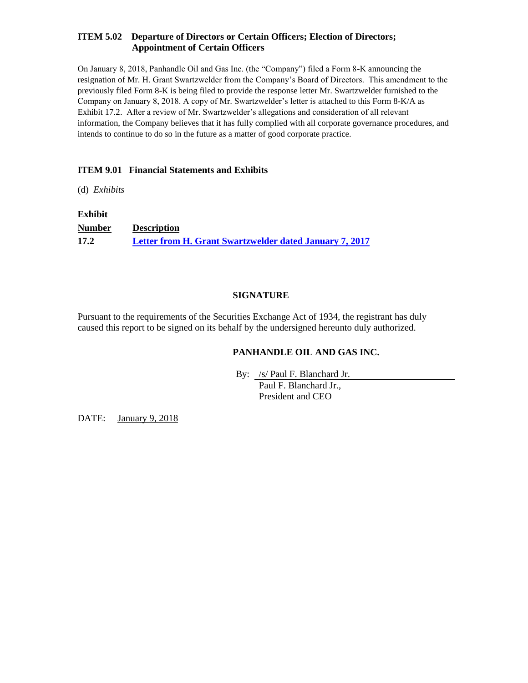#### **ITEM 5.02 Departure of Directors or Certain Officers; Election of Directors; Appointment of Certain Officers**

On January 8, 2018, Panhandle Oil and Gas Inc. (the "Company") filed a Form 8-K announcing the resignation of Mr. H. Grant Swartzwelder from the Company's Board of Directors. This amendment to the previously filed Form 8-K is being filed to provide the response letter Mr. Swartzwelder furnished to the Company on January 8, 2018. A copy of Mr. Swartzwelder's letter is attached to this Form 8-K/A as Exhibit 17.2. After a review of Mr. Swartzwelder's allegations and consideration of all relevant information, the Company believes that it has fully complied with all corporate governance procedures, and intends to continue to do so in the future as a matter of good corporate practice.

#### **ITEM 9.01 Financial Statements and Exhibits**

(d) *Exhibits*

#### **Exhibit**

**Number Description 17.2 [Letter from H. Grant Swartzwelder dated January 7, 2017](file:///C:/Users/smorris/Documents/Draft%20Version%202.0/Proof/phx-ex172_6.htm)**

#### **SIGNATURE**

Pursuant to the requirements of the Securities Exchange Act of 1934, the registrant has duly caused this report to be signed on its behalf by the undersigned hereunto duly authorized.

#### **PANHANDLE OIL AND GAS INC.**

By: /s/ Paul F. Blanchard Jr.

Paul F. Blanchard Jr., President and CEO

DATE: January 9, 2018